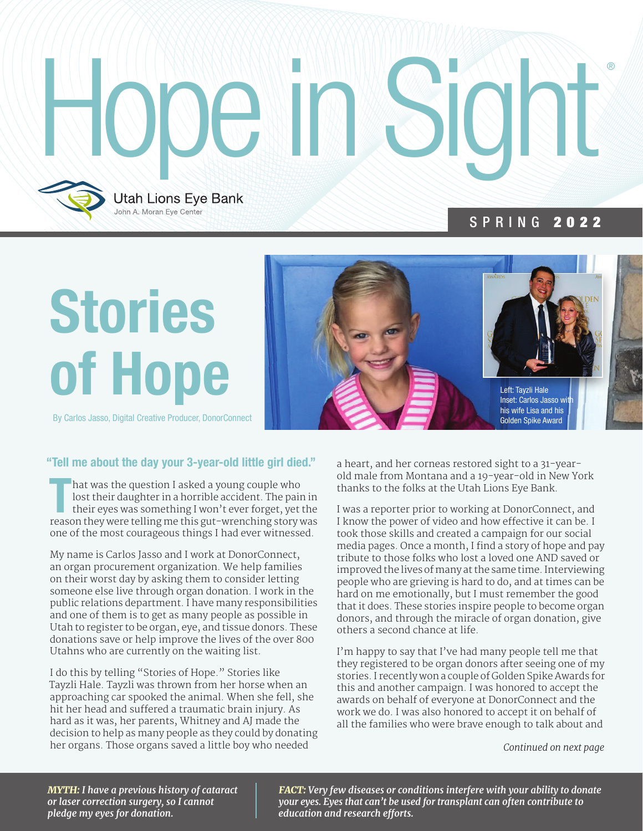# Hope in Sight **Utah Lions Eye Bank**

## Stories of Hope

John A. Moran Eye Center

By Carlos Jasso, Digital Creative Producer, DonorConnect



SPRING 2022

#### "Tell me about the day your 3-year-old little girl died."

hat was the question I asked a young couple who<br>lost their daughter in a horrible accident. The pain in<br>their eyes was something I won't ever forget, yet the<br>reason they were telling me this gut-wrenching story was hat was the question I asked a young couple who lost their daughter in a horrible accident. The pain in their eyes was something I won't ever forget, yet the one of the most courageous things I had ever witnessed.

My name is Carlos Jasso and I work at DonorConnect, an organ procurement organization. We help families on their worst day by asking them to consider letting someone else live through organ donation. I work in the public relations department. I have many responsibilities and one of them is to get as many people as possible in Utah to register to be organ, eye, and tissue donors. These donations save or help improve the lives of the over 800 Utahns who are currently on the waiting list.

I do this by telling "Stories of Hope." Stories like Tayzli Hale. Tayzli was thrown from her horse when an approaching car spooked the animal. When she fell, she hit her head and suffered a traumatic brain injury. As hard as it was, her parents, Whitney and AJ made the decision to help as many people as they could by donating her organs. Those organs saved a little boy who needed

a heart, and her corneas restored sight to a 31-yearold male from Montana and a 19-year-old in New York thanks to the folks at the Utah Lions Eye Bank.

I was a reporter prior to working at DonorConnect, and I know the power of video and how effective it can be. I took those skills and created a campaign for our social media pages. Once a month, I find a story of hope and pay tribute to those folks who lost a loved one AND saved or improved the lives of many at the same time. Interviewing people who are grieving is hard to do, and at times can be hard on me emotionally, but I must remember the good that it does. These stories inspire people to become organ donors, and through the miracle of organ donation, give others a second chance at life.

I'm happy to say that I've had many people tell me that they registered to be organ donors after seeing one of my stories. I recently won a couple of Golden Spike Awards for this and another campaign. I was honored to accept the awards on behalf of everyone at DonorConnect and the work we do. I was also honored to accept it on behalf of all the families who were brave enough to talk about and

*Continued on next page*

*MYTH: I have a previous history of cataract or laser correction surgery, so I cannot pledge my eyes for donation.*

*FACT: Very few diseases or conditions interfere with your ability to donate your eyes. Eyes that can't be used for transplant can often contribute to education and research efforts.*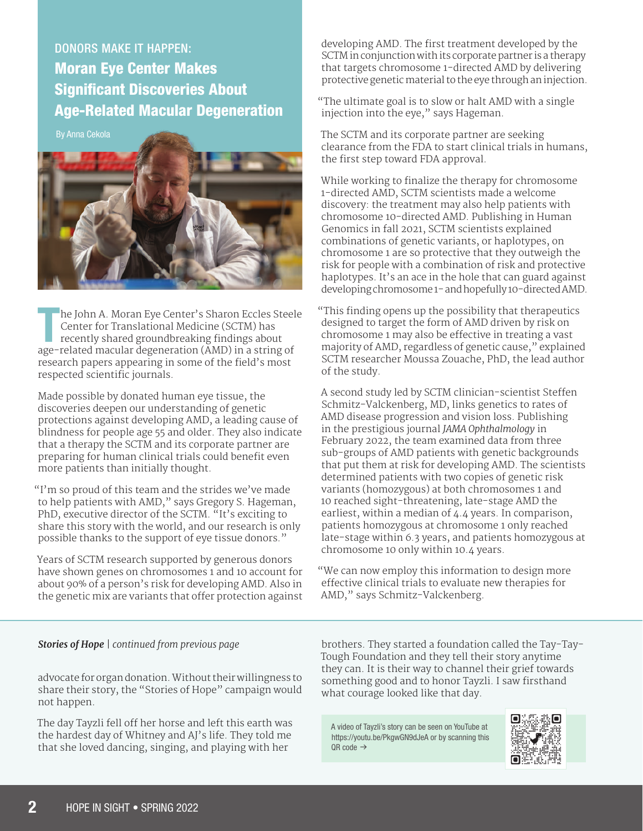DONORS MAKE IT HAPPEN: Moran Eye Center Makes Significant Discoveries About Age-Related Macular Degeneration

By Anna Cekola



he John A. Moran Eye Center's Sharon Eccles Steel<br>Center for Translational Medicine (SCTM) has<br>recently shared groundbreaking findings about<br>age-related macular degeneration (AMD) in a string of he John A. Moran Eye Center's Sharon Eccles Steele Center for Translational Medicine (SCTM) has recently shared groundbreaking findings about research papers appearing in some of the field's most respected scientific journals.

Made possible by donated human eye tissue, the discoveries deepen our understanding of genetic protections against developing AMD, a leading cause of blindness for people age 55 and older. They also indicate that a therapy the SCTM and its corporate partner are preparing for human clinical trials could benefit even more patients than initially thought.

"I'm so proud of this team and the strides we've made to help patients with AMD," says Gregory S. Hageman, PhD, executive director of the SCTM. "It's exciting to share this story with the world, and our research is only possible thanks to the support of eye tissue donors."

Years of SCTM research supported by generous donors have shown genes on chromosomes 1 and 10 account for about 90% of a person's risk for developing AMD. Also in the genetic mix are variants that offer protection against developing AMD. The first treatment developed by the SCTM in conjunction with its corporate partner is a therapy that targets chromosome 1-directed AMD by delivering protective genetic material to the eye through an injection.

"The ultimate goal is to slow or halt AMD with a single injection into the eye," says Hageman.

The SCTM and its corporate partner are seeking clearance from the FDA to start clinical trials in humans, the first step toward FDA approval.

While working to finalize the therapy for chromosome 1-directed AMD, SCTM scientists made a welcome discovery: the treatment may also help patients with chromosome 10-directed AMD. Publishing in Human Genomics in fall 2021, SCTM scientists explained combinations of genetic variants, or haplotypes, on chromosome 1 are so protective that they outweigh the risk for people with a combination of risk and protective haplotypes. It's an ace in the hole that can guard against developing chromosome 1- and hopefully 10-directed AMD.

"This finding opens up the possibility that therapeutics designed to target the form of AMD driven by risk on chromosome 1 may also be effective in treating a vast majority of AMD, regardless of genetic cause," explained SCTM researcher Moussa Zouache, PhD, the lead author of the study.

A second study led by SCTM clinician-scientist Steffen Schmitz-Valckenberg, MD, links genetics to rates of AMD disease progression and vision loss. Publishing in the prestigious journal *JAMA Ophthalmology* in February 2022, the team examined data from three sub-groups of AMD patients with genetic backgrounds that put them at risk for developing AMD. The scientists determined patients with two copies of genetic risk variants (homozygous) at both chromosomes 1 and 10 reached sight-threatening, late-stage AMD the earliest, within a median of 4.4 years. In comparison, patients homozygous at chromosome 1 only reached late-stage within 6.3 years, and patients homozygous at chromosome 10 only within 10.4 years.

"We can now employ this information to design more effective clinical trials to evaluate new therapies for AMD," says Schmitz-Valckenberg.

#### *Stories of Hope | continued from previous page*

advocate for organ donation. Without their willingness to share their story, the "Stories of Hope" campaign would not happen.

The day Tayzli fell off her horse and left this earth was the hardest day of Whitney and AJ's life. They told me that she loved dancing, singing, and playing with her

brothers. They started a foundation called the Tay-Tay-Tough Foundation and they tell their story anytime they can. It is their way to channel their grief towards something good and to honor Tayzli. I saw firsthand what courage looked like that day.

A video of Tayzli's story can be seen on YouTube at https://youtu.be/PkgwGN9dJeA or by scanning this  $OR \text{ code } \rightarrow$ 

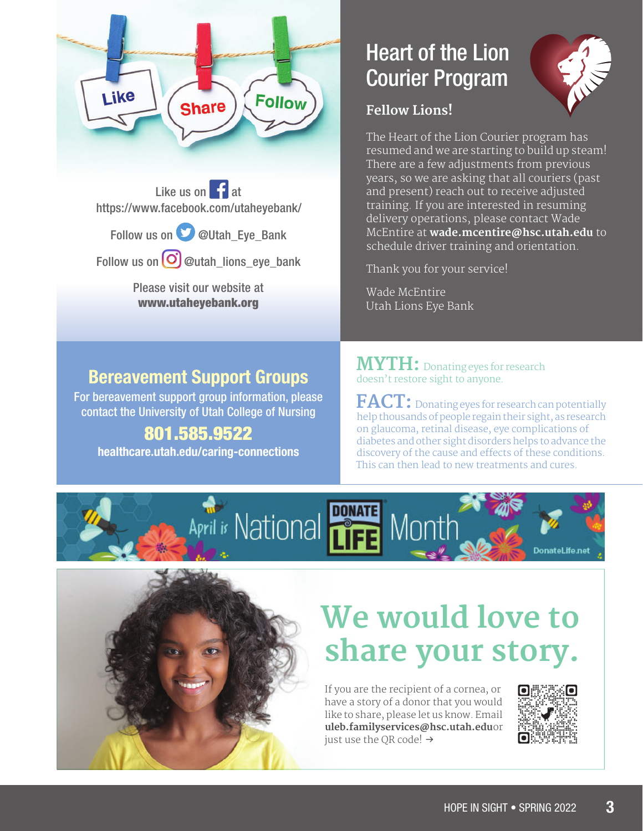

Like us on  $\left| \cdot \right|$  at https://www.facebook.com/utaheyebank/

Follow us on **W** @Utah\_Eye\_Bank

Follow us on  $\bigodot$  @utah\_lions\_eye\_bank

Please visit our website at www.utaheyebank.org

#### Bereavement Support Groups

For bereavement support group information, please contact the University of Utah College of Nursing

#### 801.585.9522

healthcare.utah.edu/caring-connections

#### Heart of the Lion Courier Program



#### **Fellow Lions!**

The Heart of the Lion Courier program has resumed and we are starting to build up steam! There are a few adjustments from previous years, so we are asking that all couriers (past and present) reach out to receive adjusted training. If you are interested in resuming delivery operations, please contact Wade McEntire at **wade.mcentire@hsc.utah.edu** to schedule driver training and orientation.

Thank you for your service!

Wade McEntire Utah Lions Eye Bank

**MYTH:** Donating eyes for research doesn't restore sight to anyone.

**FACT:** Donating eyes for research can potentially help thousands of people regain their sight, as research on glaucoma, retinal disease, eye complications of diabetes and other sight disorders helps to advance the discovery of the cause and effects of these conditions. This can then lead to new treatments and cures.





### **We would love to share your story.**

If you are the recipient of a cornea, or have a story of a donor that you would like to share, please let us know. Email **uleb.familyservices@hsc.utah.eduor** just use the OR code!  $\rightarrow$